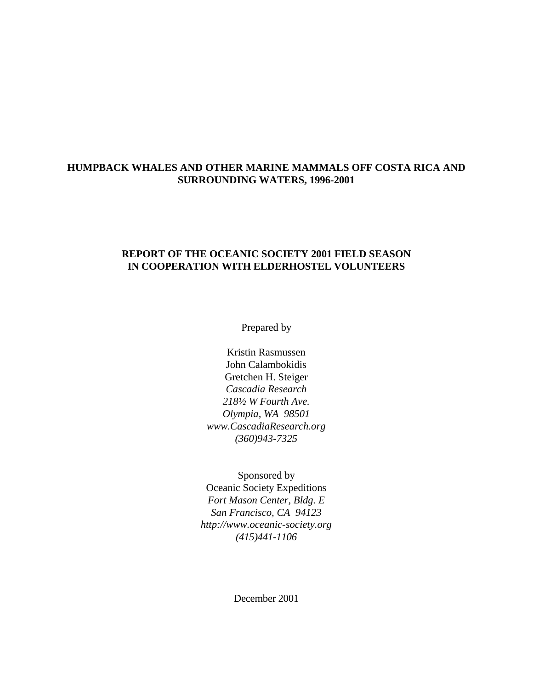# **HUMPBACK WHALES AND OTHER MARINE MAMMALS OFF COSTA RICA AND SURROUNDING WATERS, 1996-2001**

# **REPORT OF THE OCEANIC SOCIETY 2001 FIELD SEASON IN COOPERATION WITH ELDERHOSTEL VOLUNTEERS**

Prepared by

Kristin Rasmussen John Calambokidis Gretchen H. Steiger *Cascadia Research 218½ W Fourth Ave. Olympia, WA 98501 www.CascadiaResearch.org (360)943-7325*

Sponsored by Oceanic Society Expeditions *Fort Mason Center, Bldg. E San Francisco, CA 94123 http://www.oceanic-society.org (415)441-1106*

December 2001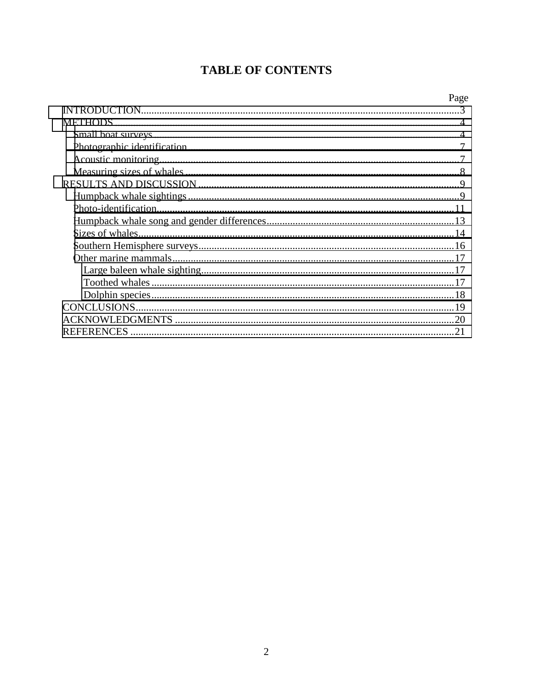# **TABLE OF CONTENTS**

|                   | Page |
|-------------------|------|
|                   |      |
|                   |      |
|                   |      |
|                   |      |
|                   |      |
|                   |      |
|                   |      |
|                   |      |
|                   |      |
|                   |      |
|                   |      |
|                   |      |
|                   |      |
|                   |      |
|                   |      |
|                   | 18   |
|                   |      |
|                   | .20  |
| <b>REFERENCES</b> |      |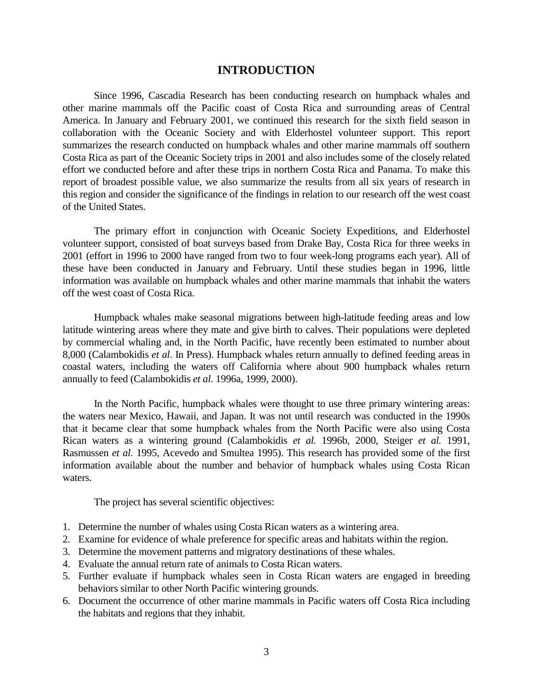# **INTRODUCTION**

<span id="page-2-0"></span> Since 1996, Cascadia Research has been conducting research on humpback whales and other marine mammals off the Pacific coast of Costa Rica and surrounding areas of Central America. In January and February 2001, we continued this research for the sixth field season in collaboration with the Oceanic Society and with Elderhostel volunteer support. This report summarizes the research conducted on humpback whales and other marine mammals off southern Costa Rica as part of the Oceanic Society trips in 2001 and also includes some of the closely related effort we conducted before and after these trips in northern Costa Rica and Panama. To make this report of broadest possible value, we also summarize the results from all six years of research in this region and consider the significance of the findings in relation to our research off the west coast of the United States.

 The primary effort in conjunction with Oceanic Society Expeditions, and Elderhostel volunteer support, consisted of boat surveys based from Drake Bay, Costa Rica for three weeks in 2001 (effort in 1996 to 2000 have ranged from two to four week-long programs each year). All of these have been conducted in January and February. Until these studies began in 1996, little information was available on humpback whales and other marine mammals that inhabit the waters off the west coast of Costa Rica.

 Humpback whales make seasonal migrations between high-latitude feeding areas and low latitude wintering areas where they mate and give birth to calves. Their populations were depleted by commercial whaling and, in the North Pacific, have recently been estimated to number about 8,000 (Calambokidis *et al*. In Press). Humpback whales return annually to defined feeding areas in coastal waters, including the waters off California where about 900 humpback whales return annually to feed (Calambokidis *et al*. 1996a, 1999, 2000).

 In the North Pacific, humpback whales were thought to use three primary wintering areas: the waters near Mexico, Hawaii, and Japan. It was not until research was conducted in the 1990s that it became clear that some humpback whales from the North Pacific were also using Costa Rican waters as a wintering ground (Calambokidis *et al.* 1996b, 2000, Steiger *et al.* 1991, Rasmussen *et al.* 1995, Acevedo and Smultea 1995). This research has provided some of the first information available about the number and behavior of humpback whales using Costa Rican waters.

The project has several scientific objectives:

- 1. Determine the number of whales using Costa Rican waters as a wintering area.
- 2. Examine for evidence of whale preference for specific areas and habitats within the region.
- 3. Determine the movement patterns and migratory destinations of these whales.
- 4. Evaluate the annual return rate of animals to Costa Rican waters.
- 5. Further evaluate if humpback whales seen in Costa Rican waters are engaged in breeding behaviors similar to other North Pacific wintering grounds.
- 6. Document the occurrence of other marine mammals in Pacific waters off Costa Rica including the habitats and regions that they inhabit.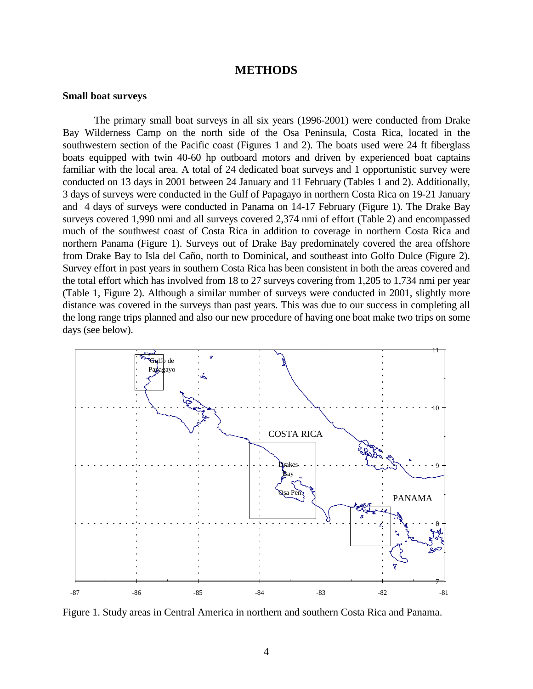## **METHODS**

#### <span id="page-3-0"></span>**Small boat surveys**

 The primary small boat surveys in all six years (1996-2001) were conducted from Drake Bay Wilderness Camp on the north side of the Osa Peninsula, Costa Rica, located in the southwestern section of the Pacific coast (Figures 1 and 2). The boats used were 24 ft fiberglass boats equipped with twin 40-60 hp outboard motors and driven by experienced boat captains familiar with the local area. A total of 24 dedicated boat surveys and 1 opportunistic survey were conducted on 13 days in 2001 between 24 January and 11 February (Tables 1 and 2). Additionally, 3 days of surveys were conducted in the Gulf of Papagayo in northern Costa Rica on 19-21 January and 4 days of surveys were conducted in Panama on 14-17 February (Figure 1). The Drake Bay surveys covered 1,990 nmi and all surveys covered 2,374 nmi of effort (Table 2) and encompassed much of the southwest coast of Costa Rica in addition to coverage in northern Costa Rica and northern Panama (Figure 1). Surveys out of Drake Bay predominately covered the area offshore from Drake Bay to Isla del Caño, north to Dominical, and southeast into Golfo Dulce (Figure 2). Survey effort in past years in southern Costa Rica has been consistent in both the areas covered and the total effort which has involved from 18 to 27 surveys covering from 1,205 to 1,734 nmi per year (Table 1, Figure 2). Although a similar number of surveys were conducted in 2001, slightly more distance was covered in the surveys than past years. This was due to our success in completing all the long range trips planned and also our new procedure of having one boat make two trips on some days (see below).



Figure 1. Study areas in Central America in northern and southern Costa Rica and Panama.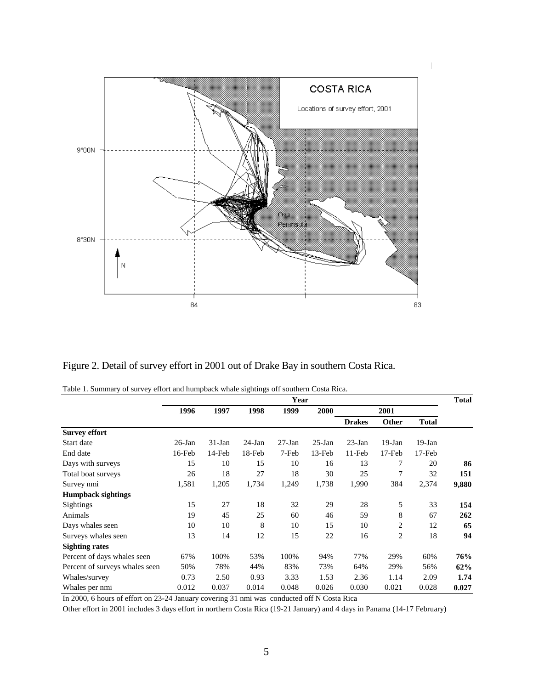

Figure 2. Detail of survey effort in 2001 out of Drake Bay in southern Costa Rica.

| Table 1. Summary of survey effort and humpback whale sightings off southern Costa Rica. |  |  |  |
|-----------------------------------------------------------------------------------------|--|--|--|
|                                                                                         |  |  |  |

|                                | Year      |          |           |          |          |               |                |              | <b>Total</b> |
|--------------------------------|-----------|----------|-----------|----------|----------|---------------|----------------|--------------|--------------|
|                                | 1996      | 1997     | 1998      | 1999     | 2000     |               | 2001           |              |              |
|                                |           |          |           |          |          | <b>Drakes</b> | Other          | <b>Total</b> |              |
| <b>Survey effort</b>           |           |          |           |          |          |               |                |              |              |
| Start date                     | $26$ -Jan | $31-Jan$ | $24$ -Jan | $27-Ian$ | $25-Ian$ | $23$ -Jan     | $19-Ian$       | $19-Ian$     |              |
| End date                       | 16-Feb    | 14-Feb   | 18-Feb    | 7-Feb    | 13-Feb   | 11-Feb        | $17$ -Feb      | $17$ -Feb    |              |
| Days with surveys              | 15        | 10       | 15        | 10       | 16       | 13            | 7              | 20           | 86           |
| Total boat surveys             | 26        | 18       | 27        | 18       | 30       | 25            | 7              | 32           | 151          |
| Survey nmi                     | 1,581     | 1,205    | 1,734     | 1,249    | 1,738    | 1,990         | 384            | 2,374        | 9,880        |
| <b>Humpback sightings</b>      |           |          |           |          |          |               |                |              |              |
| Sightings                      | 15        | 27       | 18        | 32       | 29       | 28            | 5              | 33           | 154          |
| Animals                        | 19        | 45       | 25        | 60       | 46       | 59            | 8              | 67           | 262          |
| Days whales seen               | 10        | 10       | 8         | 10       | 15       | 10            | $\overline{c}$ | 12           | 65           |
| Surveys whales seen            | 13        | 14       | 12        | 15       | 22       | 16            | $\overline{2}$ | 18           | 94           |
| <b>Sighting rates</b>          |           |          |           |          |          |               |                |              |              |
| Percent of days whales seen    | 67%       | 100%     | 53%       | 100%     | 94%      | 77%           | 29%            | 60%          | 76%          |
| Percent of surveys whales seen | 50%       | 78%      | 44%       | 83%      | 73%      | 64%           | 29%            | 56%          | 62%          |
| Whales/survey                  | 0.73      | 2.50     | 0.93      | 3.33     | 1.53     | 2.36          | 1.14           | 2.09         | 1.74         |
| Whales per nmi                 | 0.012     | 0.037    | 0.014     | 0.048    | 0.026    | 0.030         | 0.021          | 0.028        | 0.027        |

In 2000, 6 hours of effort on 23-24 January covering 31 nmi was conducted off N Costa Rica

Other effort in 2001 includes 3 days effort in northern Costa Rica (19-21 January) and 4 days in Panama (14-17 February)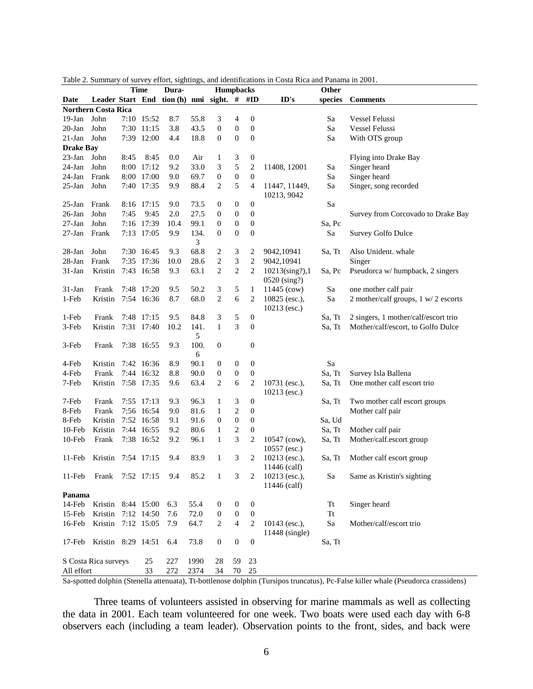|                  |                            |      | <b>Time</b> | Dura-                   |           | Humpbacks        |                             |                  |                                | Other   |                                      |
|------------------|----------------------------|------|-------------|-------------------------|-----------|------------------|-----------------------------|------------------|--------------------------------|---------|--------------------------------------|
| Date             | Leader Start End           |      |             | tion (h) nmi sight. $#$ |           |                  |                             | $\#ID$           | ID's                           | species | <b>Comments</b>                      |
|                  | <b>Northern Costa Rica</b> |      |             |                         |           |                  |                             |                  |                                |         |                                      |
| $19-Jan$         | John                       |      | 7:10 15:52  | 8.7                     | 55.8      | 3                | 4                           | $\boldsymbol{0}$ |                                | Sa      | <b>Vessel Felussi</b>                |
| $20-Ian$         | John                       |      | 7:30 11:15  | 3.8                     | 43.5      | $\boldsymbol{0}$ | $\boldsymbol{0}$            | $\mathbf{0}$     |                                | Sa      | <b>Vessel Felussi</b>                |
| $21-Ian$         | John                       |      | 7:39 12:00  | 4.4                     | 18.8      | $\overline{0}$   | $\boldsymbol{0}$            | $\boldsymbol{0}$ |                                | Sa      | With OTS group                       |
| <b>Drake Bay</b> |                            |      |             |                         |           |                  |                             |                  |                                |         |                                      |
| $23$ -Jan        | John                       | 8:45 | 8:45        | 0.0                     | Air       | 1                | 3                           | $\boldsymbol{0}$ |                                |         | Flying into Drake Bay                |
| 24-Jan           | John                       |      | 8:00 17:12  | 9.2                     | 33.0      | 3                | 5                           | $\overline{c}$   | 11408, 12001                   | Sa      | Singer heard                         |
| $24$ -Jan        | Frank                      |      | 8:00 17:00  | 9.0                     | 69.7      | $\boldsymbol{0}$ | $\boldsymbol{0}$            | $\boldsymbol{0}$ |                                | Sa      | Singer heard                         |
| $25-Ian$         | John                       |      | 7:40 17:35  | 9.9                     | 88.4      | 2                | 5                           | 4                | 11447, 11449,                  | Sa      | Singer, song recorded                |
| 25-Jan           | Frank                      |      | 8:16 17:15  | 9.0                     | 73.5      | 0                | $\boldsymbol{0}$            | $\boldsymbol{0}$ | 10213, 9042                    | Sa      |                                      |
| 26-Jan           | John                       | 7:45 | 9:45        | 2.0                     | 27.5      | 0                | $\boldsymbol{0}$            | $\boldsymbol{0}$ |                                |         | Survey from Corcovado to Drake Bay   |
| $27-Ian$         | John                       |      | 7:16 17:39  | 10.4                    | 99.1      | $\mathbf{0}$     | $\boldsymbol{0}$            | $\boldsymbol{0}$ |                                | Sa, Pc  |                                      |
| $27-Ian$         | Frank                      |      | 7:13 17:05  | 9.9                     | 134.      | $\overline{0}$   | $\boldsymbol{0}$            | $\boldsymbol{0}$ |                                | Sa      | <b>Survey Golfo Dulce</b>            |
|                  |                            |      |             |                         | 3         |                  |                             |                  |                                |         |                                      |
| 28-Jan           | John                       |      | 7:30 16:45  | 9.3                     | 68.8      | 2                | 3                           | $\overline{c}$   | 9042,10941                     | Sa, Tt  | Also Unident. whale                  |
| 28-Jan           | Frank                      |      | 7:35 17:36  | 10.0                    | 28.6      | 2                | 3                           | $\overline{c}$   | 9042,10941                     |         | Singer                               |
| 31-Jan           | Kristin                    |      | 7:43 16:58  | 9.3                     | 63.1      | 2                | $\overline{c}$              | $\overline{c}$   | 10213(sing?),1<br>0520 (sing?) | Sa, Pc  | Pseudorca w/ humpback, 2 singers     |
| $31-Jan$         | Frank                      |      | 7:48 17:20  | 9.5                     | 50.2      | 3                | 5                           | $\mathbf{1}$     | 11445 (cow)                    | Sa      | one mother calf pair                 |
| 1-Feb            | Kristin                    |      | 7:54 16:36  | 8.7                     | 68.0      | 2                | 6                           | 2                | 10825 (esc.),<br>10213 (esc.)  | Sa      | 2 mother/calf groups, 1 w/ 2 escorts |
| 1-Feb            | Frank                      |      | 7:48 17:15  | 9.5                     | 84.8      | 3                | 5                           | $\boldsymbol{0}$ |                                | Sa, Tt  | 2 singers, 1 mother/calf/escort trio |
| 3-Feb            | Kristin                    |      | 7:31 17:40  | 10.2                    | 141.      | $\mathbf{1}$     | 3                           | $\mathbf{0}$     |                                | Sa, Tt  | Mother/calf/escort, to Golfo Dulce   |
|                  |                            |      |             |                         | 5         |                  |                             |                  |                                |         |                                      |
| 3-Feb            | Frank                      |      | 7:38 16:55  | 9.3                     | 100.<br>6 | $\overline{0}$   |                             | $\boldsymbol{0}$ |                                |         |                                      |
| 4-Feb            | Kristin                    |      | 7:42 16:36  | 8.9                     | 90.1      | $\boldsymbol{0}$ | $\boldsymbol{0}$            | $\boldsymbol{0}$ |                                | Sa      |                                      |
| 4-Feb            | Frank                      |      | 7:44 16:32  | 8.8                     | 90.0      | $\boldsymbol{0}$ | $\boldsymbol{0}$            | $\boldsymbol{0}$ |                                | Sa, Tt  | Survey Isla Ballena                  |
| 7-Feb            | Kristin                    |      | 7:58 17:35  | 9.6                     | 63.4      | 2                | 6                           | 2                | 10731 (esc.),                  | Sa, Tt  | One mother calf escort trio          |
|                  |                            |      |             |                         |           |                  |                             |                  | 10213 (esc.)                   |         |                                      |
| 7-Feb            | Frank                      |      | 7:55 17:13  | 9.3                     | 96.3      | 1                | $\ensuremath{\mathfrak{Z}}$ | $\mathbf{0}$     |                                | Sa, Tt  | Two mother calf escort groups        |
| 8-Feb            | Frank                      |      | 7:56 16:54  | 9.0                     | 81.6      | $\mathbf{1}$     | $\overline{\mathbf{c}}$     | $\boldsymbol{0}$ |                                |         | Mother calf pair                     |
| 8-Feb            | Kristin                    |      | 7:52 16:58  | 9.1                     | 91.6      | $\mathbf{0}$     | $\boldsymbol{0}$            | $\mathbf{0}$     |                                | Sa, Ud  |                                      |
| $10$ -Feb        | Kristin                    |      | 7:44 16:55  | 9.2                     | 80.6      | 1                | $\overline{c}$              | $\mathbf{0}$     |                                | Sa, Tt  | Mother calf pair                     |
| 10-Feb           | Frank                      |      | 7:38 16:52  | 9.2                     | 96.1      | $\mathbf{1}$     | 3                           | 2                | 10547 (cow),<br>$10557$ (esc.) | Sa, Tt  | Mother/calf.escort group             |
| 11-Feb           | Kristin                    |      | 7:54 17:15  | 9.4                     | 83.9      | $\mathbf{1}$     | 3                           | 2                | 10213 (esc.),<br>11446 (calf)  | Sa, Tt  | Mother calf escort group             |
| $11-Feb$         | Frank                      |      | 7:52 17:15  | 9.4                     | 85.2      | $\mathbf{1}$     | 3                           | 2                | 10213 (esc.),<br>11446 (calf)  | Sa      | Same as Kristin's sighting           |
| Panama           |                            |      |             |                         |           |                  |                             |                  |                                |         |                                      |
| 14-Feb           | Kristin 8:44 15:00         |      |             | 6.3                     | 55.4      | 0                | $\boldsymbol{0}$            | $\boldsymbol{0}$ |                                | Tt      | Singer heard                         |
| $15$ -Feb        | Kristin                    |      | 7:12 14:50  | 7.6                     | 72.0      | $\boldsymbol{0}$ | $\boldsymbol{0}$            | $\boldsymbol{0}$ |                                | Tt      |                                      |
| 16-Feb           | Kristin                    |      | 7:12 15:05  | 7.9                     | 64.7      | 2                | $\overline{4}$              | $\overline{c}$   | $10143$ (esc.),                | Sa      | Mother/calf/escort trio              |
| 17-Feb           | Kristin 8:29 14:51         |      |             | 6.4                     | 73.8      | $\boldsymbol{0}$ | $\boldsymbol{0}$            | $\boldsymbol{0}$ | 11448 (single)                 | Sa, Tt  |                                      |
|                  |                            |      |             |                         |           |                  |                             |                  |                                |         |                                      |
|                  | S Costa Rica surveys       |      | 25          | 227                     | 1990      | 28               | 59                          | 23               |                                |         |                                      |
| All effort       |                            |      | 33          | 272                     | 2374      | 34               | 70                          | 25               |                                |         |                                      |

Table 2. Summary of survey effort, sightings, and identifications in Costa Rica and Panama in 2001.

Sa-spotted dolphin (Stenella attenuata), Tt-bottlenose dolphin (Tursipos truncatus), Pc-False killer whale (Pseudorca crassidens)

 Three teams of volunteers assisted in observing for marine mammals as well as collecting the data in 2001. Each team volunteered for one week. Two boats were used each day with 6-8 observers each (including a team leader). Observation points to the front, sides, and back were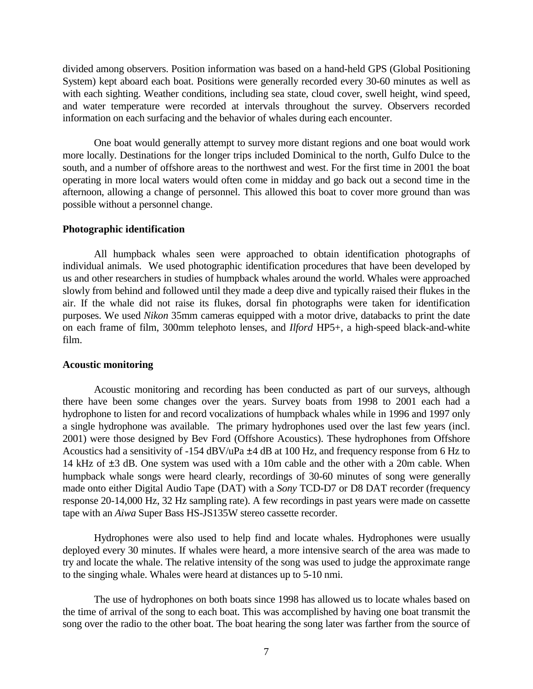<span id="page-6-0"></span>divided among observers. Position information was based on a hand-held GPS (Global Positioning System) kept aboard each boat. Positions were generally recorded every 30-60 minutes as well as with each sighting. Weather conditions, including sea state, cloud cover, swell height, wind speed, and water temperature were recorded at intervals throughout the survey. Observers recorded information on each surfacing and the behavior of whales during each encounter.

 One boat would generally attempt to survey more distant regions and one boat would work more locally. Destinations for the longer trips included Dominical to the north, Gulfo Dulce to the south, and a number of offshore areas to the northwest and west. For the first time in 2001 the boat operating in more local waters would often come in midday and go back out a second time in the afternoon, allowing a change of personnel. This allowed this boat to cover more ground than was possible without a personnel change.

#### **Photographic identification**

 All humpback whales seen were approached to obtain identification photographs of individual animals. We used photographic identification procedures that have been developed by us and other researchers in studies of humpback whales around the world. Whales were approached slowly from behind and followed until they made a deep dive and typically raised their flukes in the air. If the whale did not raise its flukes, dorsal fin photographs were taken for identification purposes. We used *Nikon* 35mm cameras equipped with a motor drive, databacks to print the date on each frame of film, 300mm telephoto lenses, and *Ilford* HP5+, a high-speed black-and-white film.

## **Acoustic monitoring**

 Acoustic monitoring and recording has been conducted as part of our surveys, although there have been some changes over the years. Survey boats from 1998 to 2001 each had a hydrophone to listen for and record vocalizations of humpback whales while in 1996 and 1997 only a single hydrophone was available. The primary hydrophones used over the last few years (incl. 2001) were those designed by Bev Ford (Offshore Acoustics). These hydrophones from Offshore Acoustics had a sensitivity of -154 dBV/uPa ±4 dB at 100 Hz, and frequency response from 6 Hz to 14 kHz of ±3 dB. One system was used with a 10m cable and the other with a 20m cable. When humpback whale songs were heard clearly, recordings of 30-60 minutes of song were generally made onto either Digital Audio Tape (DAT) with a *Sony* TCD-D7 or D8 DAT recorder (frequency response 20-14,000 Hz, 32 Hz sampling rate). A few recordings in past years were made on cassette tape with an *Aiwa* Super Bass HS-JS135W stereo cassette recorder.

 Hydrophones were also used to help find and locate whales. Hydrophones were usually deployed every 30 minutes. If whales were heard, a more intensive search of the area was made to try and locate the whale. The relative intensity of the song was used to judge the approximate range to the singing whale. Whales were heard at distances up to 5-10 nmi.

 The use of hydrophones on both boats since 1998 has allowed us to locate whales based on the time of arrival of the song to each boat. This was accomplished by having one boat transmit the song over the radio to the other boat. The boat hearing the song later was farther from the source of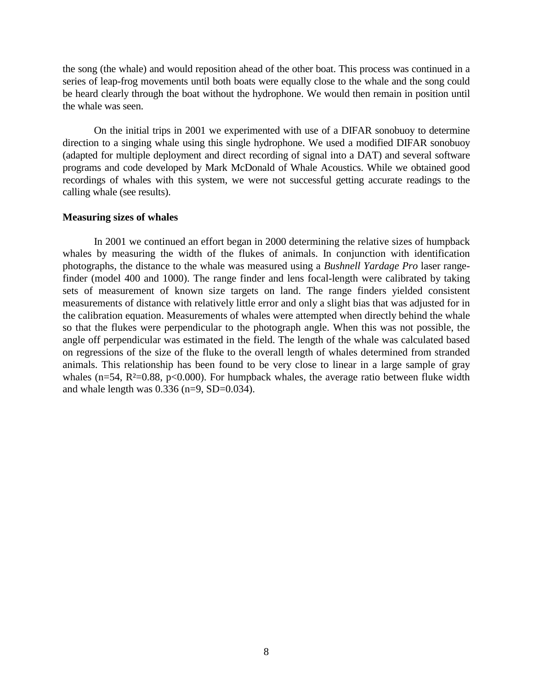<span id="page-7-0"></span>the song (the whale) and would reposition ahead of the other boat. This process was continued in a series of leap-frog movements until both boats were equally close to the whale and the song could be heard clearly through the boat without the hydrophone. We would then remain in position until the whale was seen.

 On the initial trips in 2001 we experimented with use of a DIFAR sonobuoy to determine direction to a singing whale using this single hydrophone. We used a modified DIFAR sonobuoy (adapted for multiple deployment and direct recording of signal into a DAT) and several software programs and code developed by Mark McDonald of Whale Acoustics. While we obtained good recordings of whales with this system, we were not successful getting accurate readings to the calling whale (see results).

#### **Measuring sizes of whales**

In 2001 we continued an effort began in 2000 determining the relative sizes of humpback whales by measuring the width of the flukes of animals. In conjunction with identification photographs, the distance to the whale was measured using a *Bushnell Yardage Pro* laser rangefinder (model 400 and 1000). The range finder and lens focal-length were calibrated by taking sets of measurement of known size targets on land. The range finders yielded consistent measurements of distance with relatively little error and only a slight bias that was adjusted for in the calibration equation. Measurements of whales were attempted when directly behind the whale so that the flukes were perpendicular to the photograph angle. When this was not possible, the angle off perpendicular was estimated in the field. The length of the whale was calculated based on regressions of the size of the fluke to the overall length of whales determined from stranded animals. This relationship has been found to be very close to linear in a large sample of gray whales ( $n=54$ ,  $R<sup>2</sup>=0.88$ ,  $p<0.000$ ). For humpback whales, the average ratio between fluke width and whale length was  $0.336$  (n=9, SD=0.034).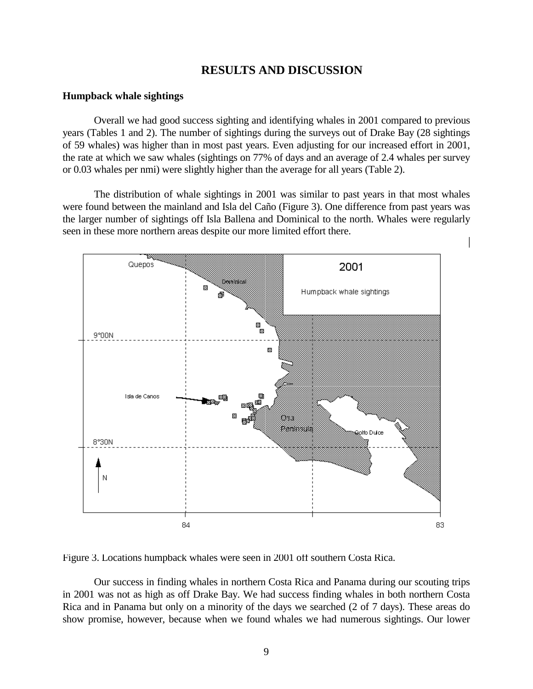# **RESULTS AND DISCUSSION**

#### <span id="page-8-0"></span>**Humpback whale sightings**

 Overall we had good success sighting and identifying whales in 2001 compared to previous years (Tables 1 and 2). The number of sightings during the surveys out of Drake Bay (28 sightings of 59 whales) was higher than in most past years. Even adjusting for our increased effort in 2001, the rate at which we saw whales (sightings on 77% of days and an average of 2.4 whales per survey or 0.03 whales per nmi) were slightly higher than the average for all years (Table 2).

 The distribution of whale sightings in 2001 was similar to past years in that most whales were found between the mainland and Isla del Caño (Figure 3). One difference from past years was the larger number of sightings off Isla Ballena and Dominical to the north. Whales were regularly seen in these more northern areas despite our more limited effort there.



Figure 3. Locations humpback whales were seen in 2001 off southern Costa Rica.

 Our success in finding whales in northern Costa Rica and Panama during our scouting trips in 2001 was not as high as off Drake Bay. We had success finding whales in both northern Costa Rica and in Panama but only on a minority of the days we searched (2 of 7 days). These areas do show promise, however, because when we found whales we had numerous sightings. Our lower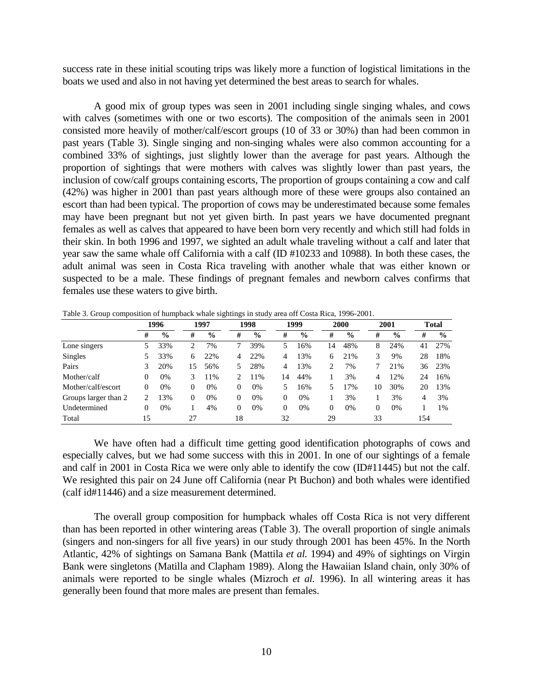success rate in these initial scouting trips was likely more a function of logistical limitations in the boats we used and also in not having yet determined the best areas to search for whales.

 A good mix of group types was seen in 2001 including single singing whales, and cows with calves (sometimes with one or two escorts). The composition of the animals seen in 2001 consisted more heavily of mother/calf/escort groups (10 of 33 or 30%) than had been common in past years (Table 3). Single singing and non-singing whales were also common accounting for a combined 33% of sightings, just slightly lower than the average for past years. Although the proportion of sightings that were mothers with calves was slightly lower than past years, the inclusion of cow/calf groups containing escorts, The proportion of groups containing a cow and calf (42%) was higher in 2001 than past years although more of these were groups also contained an escort than had been typical. The proportion of cows may be underestimated because some females may have been pregnant but not yet given birth. In past years we have documented pregnant females as well as calves that appeared to have been born very recently and which still had folds in their skin. In both 1996 and 1997, we sighted an adult whale traveling without a calf and later that year saw the same whale off California with a calf (ID #10233 and 10988). In both these cases, the adult animal was seen in Costa Rica traveling with another whale that was either known or suspected to be a male. These findings of pregnant females and newborn calves confirms that females use these waters to give birth.

| $\overline{\phantom{a}}$ |    |               |          | ັ             | ້        | $\tilde{\phantom{a}}$ |    |               |    |               |          |               |     |               |
|--------------------------|----|---------------|----------|---------------|----------|-----------------------|----|---------------|----|---------------|----------|---------------|-----|---------------|
|                          |    | 1996          |          | 1997          |          | 1998                  |    | 1999          |    | 2000          |          | 2001          |     | <b>Total</b>  |
|                          | #  | $\frac{6}{9}$ | #        | $\frac{0}{0}$ | #        | $\%$                  | #  | $\frac{6}{9}$ | #  | $\frac{0}{0}$ | #        | $\frac{6}{9}$ | #   | $\frac{0}{0}$ |
| Lone singers             | 5  | 33%           | 2        | 7%            |          | 39%                   | 5  | 16%           | 14 | 48%           | 8        | 24%           | 41  | 27%           |
| Singles                  |    | 33%           | 6        | 22%           | 4        | 22%                   | 4  | 13%           | 6  | 21%           | 3        | 9%            | 28  | 18%           |
| Pairs                    | 3  | 20%           | 15       | 56%           | 5.       | 28%                   | 4  | 13%           | 2  | 7%            |          | 21%           | 36  | 23%           |
| Mother/calf              | 0  | 0%            | 3        | 11%           |          | 11%                   | 14 | 44%           |    | 3%            | 4        | 12%           | 24  | 16%           |
| Mother/calf/escort       | 0  | 0%            | 0        | 0%            | $\Omega$ | 0%                    | 5  | 16%           | 5  | 17%           | 10       | 30%           | 20  | 13%           |
| Groups larger than 2     | 2  | 13%           | $\Omega$ | 0%            | $\Omega$ | 0%                    | 0  | 0%            |    | 3%            |          | 3%            | 4   | 3%            |
| Undetermined             | 0  | 0%            |          | 4%            | $\Omega$ | 0%                    | 0  | 0%            | 0  | 0%            | $\theta$ | 0%            |     | 1%            |
| Total                    | 15 |               | 27       |               | 18       |                       | 32 |               | 29 |               | 33       |               | 154 |               |

Table 3. Group composition of humpback whale sightings in study area off Costa Rica, 1996-2001.

 We have often had a difficult time getting good identification photographs of cows and especially calves, but we had some success with this in 2001. In one of our sightings of a female and calf in 2001 in Costa Rica we were only able to identify the cow (ID#11445) but not the calf. We resighted this pair on 24 June off California (near Pt Buchon) and both whales were identified (calf id#11446) and a size measurement determined.

 The overall group composition for humpback whales off Costa Rica is not very different than has been reported in other wintering areas (Table 3). The overall proportion of single animals (singers and non-singers for all five years) in our study through 2001 has been 45%. In the North Atlantic, 42% of sightings on Samana Bank (Mattila *et al.* 1994) and 49% of sightings on Virgin Bank were singletons (Matilla and Clapham 1989). Along the Hawaiian Island chain, only 30% of animals were reported to be single whales (Mizroch *et al.* 1996). In all wintering areas it has generally been found that more males are present than females.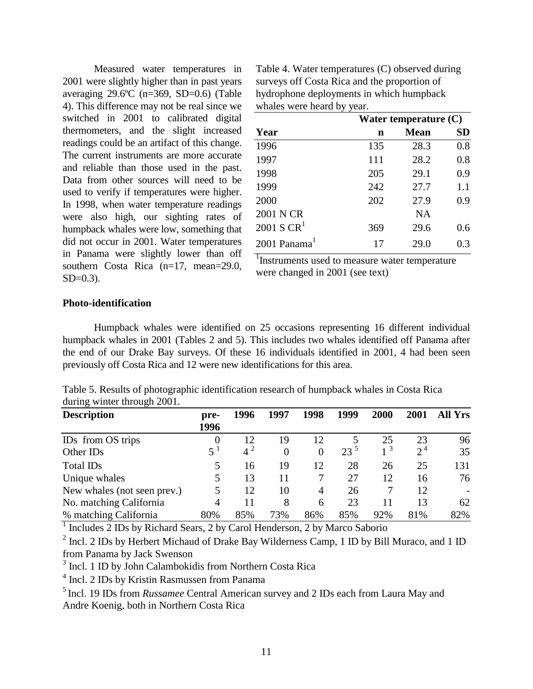<span id="page-10-0"></span> Measured water temperatures in 2001 were slightly higher than in past years averaging 29.6ºC (n=369, SD=0.6) (Table 4). This difference may not be real since we switched in 2001 to calibrated digital thermometers, and the slight increased readings could be an artifact of this change. The current instruments are more accurate and reliable than those used in the past. Data from other sources will need to be used to verify if temperatures were higher. In 1998, when water temperature readings were also high, our sighting rates of humpback whales were low, something that did not occur in 2001. Water temperatures in Panama were slightly lower than off southern Costa Rica (n=17, mean=29.0,  $SD=0.3$ ).

| Table 4. Water temperatures (C) observed during |
|-------------------------------------------------|
| surveys off Costa Rica and the proportion of    |
| hydrophone deployments in which humpback        |
| whales were heard by year.                      |

|                          | Water temperature $(C)$ |             |     |  |  |  |  |  |  |
|--------------------------|-------------------------|-------------|-----|--|--|--|--|--|--|
| Year                     | n                       | <b>Mean</b> | SD  |  |  |  |  |  |  |
| 1996                     | 135                     | 28.3        | 0.8 |  |  |  |  |  |  |
| 1997                     | 111                     | 28.2        | 0.8 |  |  |  |  |  |  |
| 1998                     | 205                     | 29.1        | 0.9 |  |  |  |  |  |  |
| 1999                     | 242                     | 27.7        | 1.1 |  |  |  |  |  |  |
| 2000                     | 202                     | 27.9        | 0.9 |  |  |  |  |  |  |
| 2001 N CR                |                         | <b>NA</b>   |     |  |  |  |  |  |  |
| $2001$ S CR <sup>1</sup> | 369                     | 29.6        | 0.6 |  |  |  |  |  |  |
| 2001 Panama <sup>1</sup> | 17                      | 29.0        | 0.3 |  |  |  |  |  |  |

<sup>1</sup>Instruments used to measure water temperature were changed in 2001 (see text)

#### **Photo-identification**

 Humpback whales were identified on 25 occasions representing 16 different individual humpback whales in 2001 (Tables 2 and 5). This includes two whales identified off Panama after the end of our Drake Bay surveys. Of these 16 individuals identified in 2001, 4 had been seen previously off Costa Rica and 12 were new identifications for this area.

| Table 5. Results of photographic identification research of humpback whales in Costa Rica |  |  |  |
|-------------------------------------------------------------------------------------------|--|--|--|
| during winter through 2001.                                                               |  |  |  |

| <b>Description</b>          | pre-<br>1996 | 1996  | 1997     | 1998           | 1999              | 2000           | 2001    | <b>All Yrs</b> |
|-----------------------------|--------------|-------|----------|----------------|-------------------|----------------|---------|----------------|
| IDs from OS trips           | 0            | 12    | 19       | 12             |                   | 25             | 23      | 96             |
| Other ID <sub>s</sub>       | $5^{\rm l}$  | $4^2$ | $\Omega$ | $\overline{0}$ | $23^{\frac{5}{}}$ | 1 <sup>3</sup> | $2^{4}$ | 35             |
| Total ID <sub>s</sub>       | 5            | 16    | 19       | 12             | 28                | 26             | 25      | 131            |
| Unique whales               | 5            | 13    | 11       |                | 27                | 12             | 16      | 76             |
| New whales (not seen prev.) | 5            | 12    | 10       | 4              | 26                |                | 12      |                |
| No. matching California     | 4            | 11    | 8        | 6              | 23                | 11             | 13      | 62             |
| % matching California       | 80%          | 85%   | 73%      | 86%            | 85%               | 92%            | 81%     | 82%            |

<sup>1</sup> Includes 2 IDs by Richard Sears, 2 by Carol Henderson, 2 by Marco Saborio

 $2$  Incl. 2 IDs by Herbert Michaud of Drake Bay Wilderness Camp, 1 ID by Bill Muraco, and 1 ID from Panama by Jack Swenson

<sup>3</sup> Incl. 1 ID by John Calambokidis from Northern Costa Rica

<sup>4</sup> Incl. 2 IDs by Kristin Rasmussen from Panama

5 Incl. 19 IDs from *Russamee* Central American survey and 2 IDs each from Laura May and Andre Koenig, both in Northern Costa Rica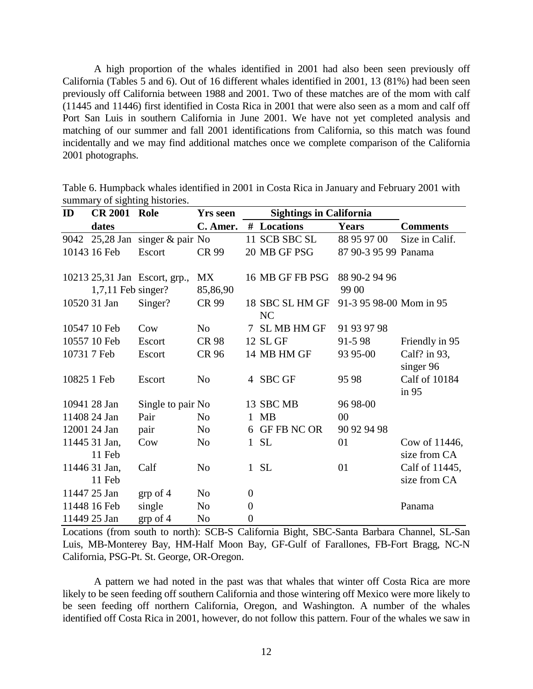A high proportion of the whales identified in 2001 had also been seen previously off California (Tables 5 and 6). Out of 16 different whales identified in 2001, 13 (81%) had been seen previously off California between 1988 and 2001. Two of these matches are of the mom with calf (11445 and 11446) first identified in Costa Rica in 2001 that were also seen as a mom and calf off Port San Luis in southern California in June 2001. We have not yet completed analysis and matching of our summer and fall 2001 identifications from California, so this match was found incidentally and we may find additional matches once we complete comparison of the California 2001 photographs.

| ID          | <b>CR 2001</b>          | Role                               | <b>Yrs seen</b>       |                  | <b>Sightings in California</b> |                         |                                |
|-------------|-------------------------|------------------------------------|-----------------------|------------------|--------------------------------|-------------------------|--------------------------------|
|             | dates                   |                                    | C. Amer.              |                  | # Locations                    | Years                   | <b>Comments</b>                |
|             |                         | 9042 25,28 Jan singer $\&$ pair No |                       |                  | 11 SCB SBC SL                  | 88 95 97 00             | Size in Calif.                 |
|             | 10143 16 Feb            | Escort                             | CR 99                 |                  | 20 MB GF PSG                   | 87 90-3 95 99 Panama    |                                |
|             | $1,7,11$ Feb singer?    | 10213 25,31 Jan Escort, grp.,      | <b>MX</b><br>85,86,90 |                  | 16 MB GF FB PSG                | 88 90-2 94 96<br>99 00  |                                |
|             | 10520 31 Jan            | Singer?                            | CR 99                 |                  | 18 SBC SL HM GF<br>NC          | 91-3 95 98-00 Mom in 95 |                                |
|             | 10547 10 Feb            | Cow                                | N <sub>0</sub>        | 7                | <b>SL MB HM GF</b>             | 91 93 97 98             |                                |
|             | 10557 10 Feb            | Escort                             | <b>CR 98</b>          |                  | 12 SL GF                       | 91-598                  | Friendly in 95                 |
|             | 10731 7 Feb             | Escort                             | CR 96                 |                  | 14 MB HM GF                    | 93 95-00                | Calf? in 93,<br>singer 96      |
| 10825 1 Feb |                         | Escort                             | N <sub>0</sub>        | 4                | <b>SBC GF</b>                  | 95 98                   | Calf of 10184<br>in 95         |
|             | 10941 28 Jan            | Single to pair No                  |                       |                  | 13 SBC MB                      | 96 98 - 00              |                                |
|             | 11408 24 Jan            | Pair                               | N <sub>o</sub>        | $\mathbf{1}$     | MB                             | $00\,$                  |                                |
|             | 12001 24 Jan            | pair                               | N <sub>0</sub>        |                  | 6 GF FB NC OR                  | 90 92 94 98             |                                |
|             | 11445 31 Jan,<br>11 Feb | Cow                                | N <sub>0</sub>        | $\mathbf{1}$     | <b>SL</b>                      | 01                      | Cow of 11446,<br>size from CA  |
|             | 11446 31 Jan,<br>11 Feb | Calf                               | N <sub>o</sub>        | $\mathbf{1}$     | <b>SL</b>                      | 01                      | Calf of 11445,<br>size from CA |
|             | 11447 25 Jan            | $_{\rm grp}$ of 4                  | N <sub>o</sub>        | $\boldsymbol{0}$ |                                |                         |                                |
|             | 11448 16 Feb            | single                             | N <sub>0</sub>        | $\boldsymbol{0}$ |                                |                         | Panama                         |
|             | 11449 25 Jan            | $_{\rm grp}$ of 4                  | N <sub>o</sub>        | $\boldsymbol{0}$ |                                |                         |                                |

Table 6. Humpback whales identified in 2001 in Costa Rica in January and February 2001 with summary of sighting histories.

Locations (from south to north): SCB-S California Bight, SBC-Santa Barbara Channel, SL-San Luis, MB-Monterey Bay, HM-Half Moon Bay, GF-Gulf of Farallones, FB-Fort Bragg, NC-N California, PSG-Pt. St. George, OR-Oregon.

 A pattern we had noted in the past was that whales that winter off Costa Rica are more likely to be seen feeding off southern California and those wintering off Mexico were more likely to be seen feeding off northern California, Oregon, and Washington. A number of the whales identified off Costa Rica in 2001, however, do not follow this pattern. Four of the whales we saw in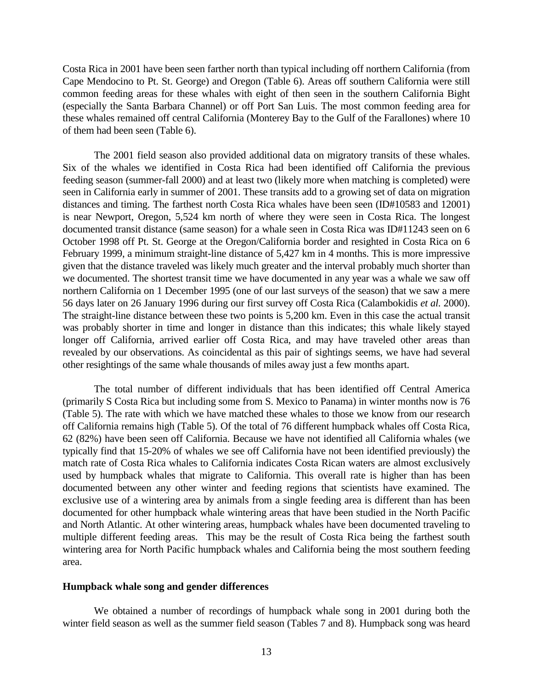<span id="page-12-0"></span>Costa Rica in 2001 have been seen farther north than typical including off northern California (from Cape Mendocino to Pt. St. George) and Oregon (Table 6). Areas off southern California were still common feeding areas for these whales with eight of then seen in the southern California Bight (especially the Santa Barbara Channel) or off Port San Luis. The most common feeding area for these whales remained off central California (Monterey Bay to the Gulf of the Farallones) where 10 of them had been seen (Table 6).

 The 2001 field season also provided additional data on migratory transits of these whales. Six of the whales we identified in Costa Rica had been identified off California the previous feeding season (summer-fall 2000) and at least two (likely more when matching is completed) were seen in California early in summer of 2001. These transits add to a growing set of data on migration distances and timing. The farthest north Costa Rica whales have been seen (ID#10583 and 12001) is near Newport, Oregon, 5,524 km north of where they were seen in Costa Rica. The longest documented transit distance (same season) for a whale seen in Costa Rica was ID#11243 seen on 6 October 1998 off Pt. St. George at the Oregon/California border and resighted in Costa Rica on 6 February 1999, a minimum straight-line distance of 5,427 km in 4 months. This is more impressive given that the distance traveled was likely much greater and the interval probably much shorter than we documented. The shortest transit time we have documented in any year was a whale we saw off northern California on 1 December 1995 (one of our last surveys of the season) that we saw a mere 56 days later on 26 January 1996 during our first survey off Costa Rica (Calambokidis *et al.* 2000). The straight-line distance between these two points is 5,200 km. Even in this case the actual transit was probably shorter in time and longer in distance than this indicates; this whale likely stayed longer off California, arrived earlier off Costa Rica, and may have traveled other areas than revealed by our observations. As coincidental as this pair of sightings seems, we have had several other resightings of the same whale thousands of miles away just a few months apart.

 The total number of different individuals that has been identified off Central America (primarily S Costa Rica but including some from S. Mexico to Panama) in winter months now is 76 (Table 5). The rate with which we have matched these whales to those we know from our research off California remains high (Table 5). Of the total of 76 different humpback whales off Costa Rica, 62 (82%) have been seen off California. Because we have not identified all California whales (we typically find that 15-20% of whales we see off California have not been identified previously) the match rate of Costa Rica whales to California indicates Costa Rican waters are almost exclusively used by humpback whales that migrate to California. This overall rate is higher than has been documented between any other winter and feeding regions that scientists have examined. The exclusive use of a wintering area by animals from a single feeding area is different than has been documented for other humpback whale wintering areas that have been studied in the North Pacific and North Atlantic. At other wintering areas, humpback whales have been documented traveling to multiple different feeding areas. This may be the result of Costa Rica being the farthest south wintering area for North Pacific humpback whales and California being the most southern feeding area.

#### **Humpback whale song and gender differences**

 We obtained a number of recordings of humpback whale song in 2001 during both the winter field season as well as the summer field season (Tables 7 and 8). Humpback song was heard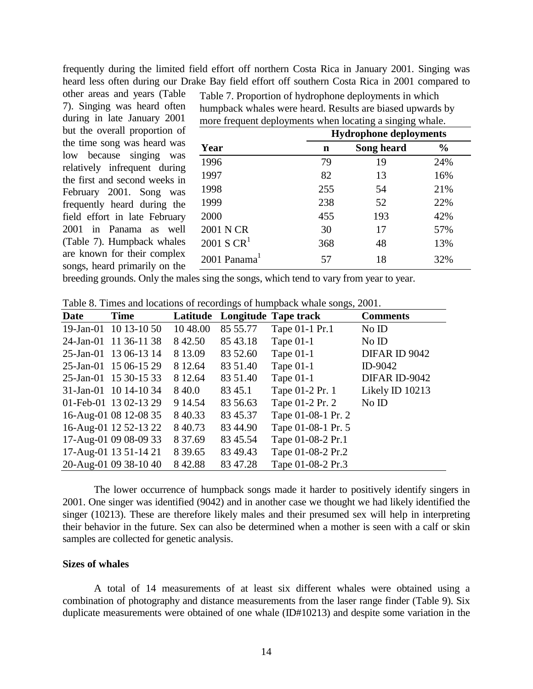<span id="page-13-0"></span>frequently during the limited field effort off northern Costa Rica in January 2001. Singing was heard less often during our Drake Bay field effort off southern Costa Rica in 2001 compared to

other areas and years (Table 7). Singing was heard often during in late January 2001 but the overall proportion of the time song was heard was low because singing was relatively infrequent during the first and second weeks in February 2001. Song was frequently heard during the field effort in late February 2001 in Panama as well (Table 7). Humpback whales are known for their complex songs, heard primarily on the

|                          | <b>Hydrophone deployments</b> |            |               |  |  |  |  |  |
|--------------------------|-------------------------------|------------|---------------|--|--|--|--|--|
| Year                     | n                             | Song heard | $\frac{0}{0}$ |  |  |  |  |  |
| 1996                     | 79                            | 19         | 24%           |  |  |  |  |  |
| 1997                     | 82                            | 13         | 16%           |  |  |  |  |  |
| 1998                     | 255                           | 54         | 21%           |  |  |  |  |  |
| 1999                     | 238                           | 52         | 22%           |  |  |  |  |  |
| 2000                     | 455                           | 193        | 42%           |  |  |  |  |  |
| 2001 N CR                | 30                            | 17         | 57%           |  |  |  |  |  |
| $2001$ S CR <sup>1</sup> | 368                           | 48         | 13%           |  |  |  |  |  |
| 2001 Panama              | 57                            | 18         | 32%           |  |  |  |  |  |
|                          |                               |            |               |  |  |  |  |  |

Table 7. Proportion of hydrophone deployments in which humpback whales were heard. Results are biased upwards by more frequent deployments when locating a singing whale.

breeding grounds. Only the males sing the songs, which tend to vary from year to year.

|  |  | Table 8. Times and locations of recordings of humpback whale songs, 2001. |
|--|--|---------------------------------------------------------------------------|
|  |  |                                                                           |

| Date | <b>Time</b>           | Latitude    |          | Longitude Tape track | <b>Comments</b>      |
|------|-----------------------|-------------|----------|----------------------|----------------------|
|      | 19-Jan-01 10 13-10 50 | 10 48.00    | 85 55.77 | Tape 01-1 Pr.1       | No ID                |
|      | 24-Jan-01 11 36-11 38 | 842.50      | 85 43.18 | Tape $01-1$          | No ID                |
|      | 25-Jan-01 13 06-13 14 | 8 13.09     | 83 52.60 | Tape $01-1$          | <b>DIFAR ID 9042</b> |
|      | 25-Jan-01 15 06-15 29 | 8 12.64     | 83 51.40 | Tape $01-1$          | ID-9042              |
|      | 25-Jan-01 15 30-15 33 | 8 12.64     | 83 51.40 | Tape $01-1$          | DIFAR ID-9042        |
|      | 31-Jan-01 10 14-10 34 | 8 4 0.0     | 83 45.1  | Tape 01-2 Pr. 1      | Likely ID 10213      |
|      | 01-Feb-01 13 02-13 29 | 9 14.54     | 83 56.63 | Tape 01-2 Pr. 2      | No ID                |
|      | 16-Aug-01 08 12-08 35 | 8 4 0.33    | 83 45.37 | Tape 01-08-1 Pr. 2   |                      |
|      | 16-Aug-01 12 52-13 22 | 8 4 0.73    | 83 44.90 | Tape 01-08-1 Pr. 5   |                      |
|      | 17-Aug-01 09 08-09 33 | 8 3 7 . 6 9 | 83 45.54 | Tape 01-08-2 Pr.1    |                      |
|      | 17-Aug-01 13 51-14 21 | 8 39.65     | 83 49.43 | Tape 01-08-2 Pr.2    |                      |
|      | 20-Aug-01 09 38-10 40 | 842.88      | 83 47.28 | Tape 01-08-2 Pr.3    |                      |

 The lower occurrence of humpback songs made it harder to positively identify singers in 2001. One singer was identified (9042) and in another case we thought we had likely identified the singer (10213). These are therefore likely males and their presumed sex will help in interpreting their behavior in the future. Sex can also be determined when a mother is seen with a calf or skin samples are collected for genetic analysis.

#### **Sizes of whales**

 A total of 14 measurements of at least six different whales were obtained using a combination of photography and distance measurements from the laser range finder (Table 9). Six duplicate measurements were obtained of one whale (ID#10213) and despite some variation in the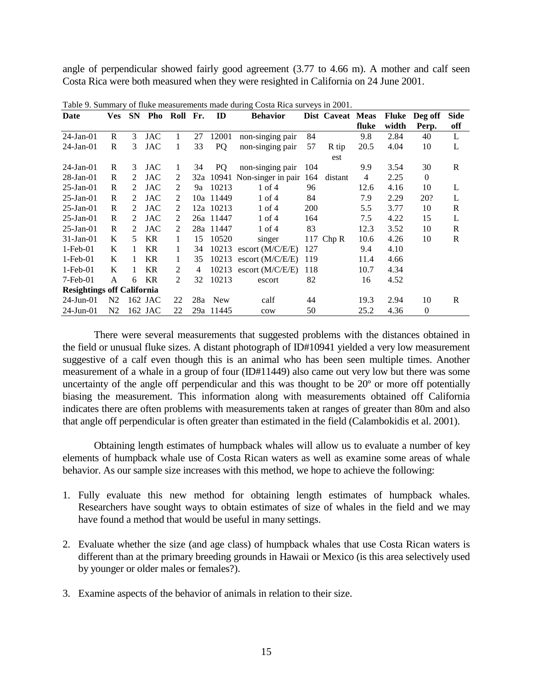angle of perpendicular showed fairly good agreement (3.77 to 4.66 m). A mother and calf seen Costa Rica were both measured when they were resighted in California on 24 June 2001.

| Date                              | Ves            | <b>SN</b>                   | Pho       | Roll           | Fr. | ID         | <b>Behavior</b>              |     | Dist Caveat Meas |       | Fluke | Deg off      | Side         |
|-----------------------------------|----------------|-----------------------------|-----------|----------------|-----|------------|------------------------------|-----|------------------|-------|-------|--------------|--------------|
|                                   |                |                             |           |                |     |            |                              |     |                  | fluke | width | Perp.        | off          |
| $24$ -Jan-01                      | $\mathbb{R}$   | 3                           | JAC       | 1              | 27  | 12001      | non-singing pair             | 84  |                  | 9.8   | 2.84  | 40           | L            |
| $24$ -Jan-01                      | R              | 3                           | JAC       | 1              | 33  | PQ         | non-singing pair             | 57  | R tip            | 20.5  | 4.04  | 10           | L            |
|                                   |                |                             |           |                |     |            |                              |     | est              |       |       |              |              |
| $24$ -Jan-01                      | R              | 3                           | JAC       | 1              | 34  | PQ         | non-singing pair             | 104 |                  | 9.9   | 3.54  | 30           | $\mathbb{R}$ |
| $28$ -Jan-01                      | R              | $\mathfrak{D}$              | JAC       | 2              |     |            | 32a 10941 Non-singer in pair | 164 | distant          | 4     | 2.25  | $\Omega$     |              |
| $25$ -Jan-01                      | R              | $\mathfrak{D}$              | JAC       | $\mathfrak{D}$ | 9а  | 10213      | $1$ of $4$                   | 96  |                  | 12.6  | 4.16  | 10           | L            |
| $25$ -Jan-01                      | R              | $\mathfrak{D}$              | JAC       | 2              |     | 10a 11449  | $1$ of $4$                   | 84  |                  | 7.9   | 2.29  | 20?          | L            |
| $25$ -Jan-01                      | R              | $\mathfrak{D}$              | JAC       | $\mathfrak{D}$ |     | 12a 10213  | $1$ of $4$                   | 200 |                  | 5.5   | 3.77  | 10           | $\mathbb{R}$ |
| $25$ -Jan-01                      | R              | $\mathcal{D}_{\cdot}$       | JAC       | $\mathcal{L}$  |     | 26a 11447  | $1$ of $4$                   | 164 |                  | 7.5   | 4.22  | 15           | L            |
| $25$ -Jan-01                      | R              | $\mathcal{D}_{\mathcal{L}}$ | JAC       | $\mathcal{L}$  |     | 28a 11447  | $1$ of $4$                   | 83  |                  | 12.3  | 3.52  | 10           | $\mathbb{R}$ |
| $31$ -Jan-01                      | K              | 5                           | <b>KR</b> | 1              | 15  | 10520      | singer                       |     | 117 Chp R        | 10.6  | 4.26  | 10           | $\mathbb{R}$ |
| $1$ -Feb- $01$                    | K              |                             | <b>KR</b> | 1              | 34  | 10213      | escort $(M/C/E/E)$           | 127 |                  | 9.4   | 4.10  |              |              |
| $1$ -Feb- $01$                    | K              | 1                           | <b>KR</b> | 1              | 35  | 10213      | escort $(M/C/E/E)$           | 119 |                  | 11.4  | 4.66  |              |              |
| $1$ -Feb- $01$                    | K              | 1                           | <b>KR</b> | 2              | 4   | 10213      | escort $(M/C/E/E)$           | 118 |                  | 10.7  | 4.34  |              |              |
| $7$ -Feb- $01$                    | A              | 6                           | <b>KR</b> | $\overline{c}$ | 32  | 10213      | escort                       | 82  |                  | 16    | 4.52  |              |              |
| <b>Resightings off California</b> |                |                             |           |                |     |            |                              |     |                  |       |       |              |              |
| $24$ -Jun-01                      | N <sub>2</sub> |                             | 162 JAC   | 22             | 28a | <b>New</b> | calf                         | 44  |                  | 19.3  | 2.94  | 10           | $\mathbb{R}$ |
| $24$ -Jun-01                      | N <sub>2</sub> |                             | 162 JAC   | 22             |     | 29a 11445  | cow                          | 50  |                  | 25.2  | 4.36  | $\mathbf{0}$ |              |

Table 9. Summary of fluke measurements made during Costa Rica surveys in 2001.

 There were several measurements that suggested problems with the distances obtained in the field or unusual fluke sizes. A distant photograph of ID#10941 yielded a very low measurement suggestive of a calf even though this is an animal who has been seen multiple times. Another measurement of a whale in a group of four (ID#11449) also came out very low but there was some uncertainty of the angle off perpendicular and this was thought to be 20º or more off potentially biasing the measurement. This information along with measurements obtained off California indicates there are often problems with measurements taken at ranges of greater than 80m and also that angle off perpendicular is often greater than estimated in the field (Calambokidis et al. 2001).

 Obtaining length estimates of humpback whales will allow us to evaluate a number of key elements of humpback whale use of Costa Rican waters as well as examine some areas of whale behavior. As our sample size increases with this method, we hope to achieve the following:

- 1. Fully evaluate this new method for obtaining length estimates of humpback whales. Researchers have sought ways to obtain estimates of size of whales in the field and we may have found a method that would be useful in many settings.
- 2. Evaluate whether the size (and age class) of humpback whales that use Costa Rican waters is different than at the primary breeding grounds in Hawaii or Mexico (is this area selectively used by younger or older males or females?).
- 3. Examine aspects of the behavior of animals in relation to their size.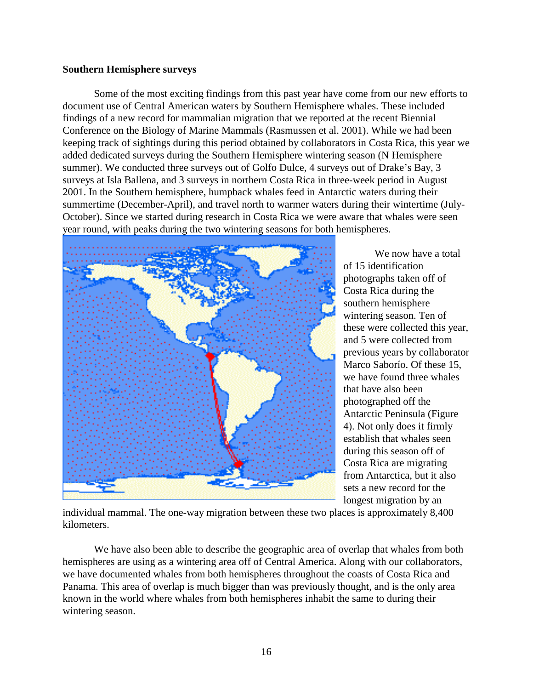## <span id="page-15-0"></span>**Southern Hemisphere surveys**

Some of the most exciting findings from this past year have come from our new efforts to document use of Central American waters by Southern Hemisphere whales. These included findings of a new record for mammalian migration that we reported at the recent Biennial Conference on the Biology of Marine Mammals (Rasmussen et al. 2001). While we had been keeping track of sightings during this period obtained by collaborators in Costa Rica, this year we added dedicated surveys during the Southern Hemisphere wintering season (N Hemisphere summer). We conducted three surveys out of Golfo Dulce, 4 surveys out of Drake's Bay, 3 surveys at Isla Ballena, and 3 surveys in northern Costa Rica in three-week period in August 2001. In the Southern hemisphere, humpback whales feed in Antarctic waters during their summertime (December-April), and travel north to warmer waters during their wintertime (July-October). Since we started during research in Costa Rica we were aware that whales were seen year round, with peaks during the two wintering seasons for both hemispheres.



We now have a total of 15 identification photographs taken off of Costa Rica during the southern hemisphere wintering season. Ten of these were collected this year, and 5 were collected from previous years by collaborator Marco Saborío. Of these 15, we have found three whales that have also been photographed off the Antarctic Peninsula (Figure 4). Not only does it firmly establish that whales seen during this season off of Costa Rica are migrating from Antarctica, but it also sets a new record for the longest migration by an

individual mammal. The one-way migration between these two places is approximately 8,400 kilometers.

We have also been able to describe the geographic area of overlap that whales from both hemispheres are using as a wintering area off of Central America. Along with our collaborators, we have documented whales from both hemispheres throughout the coasts of Costa Rica and Panama. This area of overlap is much bigger than was previously thought, and is the only area known in the world where whales from both hemispheres inhabit the same to during their wintering season.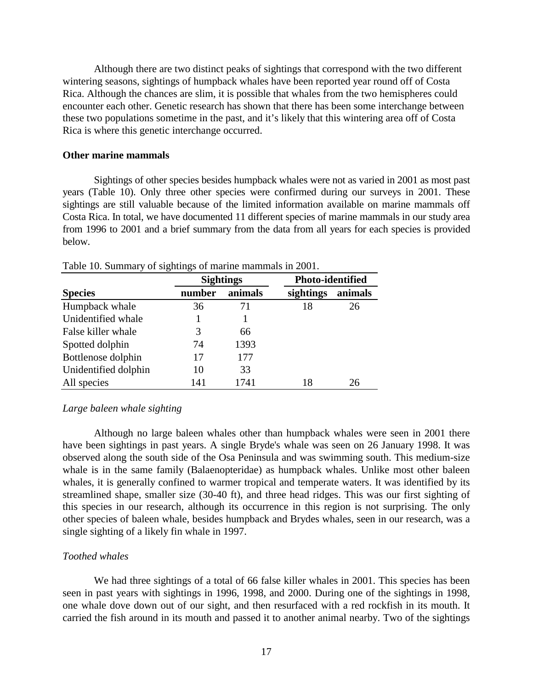<span id="page-16-0"></span>Although there are two distinct peaks of sightings that correspond with the two different wintering seasons, sightings of humpback whales have been reported year round off of Costa Rica. Although the chances are slim, it is possible that whales from the two hemispheres could encounter each other. Genetic research has shown that there has been some interchange between these two populations sometime in the past, and it's likely that this wintering area off of Costa Rica is where this genetic interchange occurred.

#### **Other marine mammals**

 Sightings of other species besides humpback whales were not as varied in 2001 as most past years (Table 10). Only three other species were confirmed during our surveys in 2001. These sightings are still valuable because of the limited information available on marine mammals off Costa Rica. In total, we have documented 11 different species of marine mammals in our study area from 1996 to 2001 and a brief summary from the data from all years for each species is provided below.

|                      |        | <b>Sightings</b> | <b>Photo-identified</b> |         |  |  |
|----------------------|--------|------------------|-------------------------|---------|--|--|
| <b>Species</b>       | number | animals          | sightings               | animals |  |  |
| Humpback whale       | 36     | 71               | 18                      | 26      |  |  |
| Unidentified whale   |        |                  |                         |         |  |  |
| False killer whale   | 3      | 66               |                         |         |  |  |
| Spotted dolphin      | 74     | 1393             |                         |         |  |  |
| Bottlenose dolphin   | 17     | 177              |                         |         |  |  |
| Unidentified dolphin | 10     | 33               |                         |         |  |  |
| All species          | 141    | 1741             | 18                      | 26      |  |  |

Table 10. Summary of sightings of marine mammals in 2001.

#### *Large baleen whale sighting*

 Although no large baleen whales other than humpback whales were seen in 2001 there have been sightings in past years. A single Bryde's whale was seen on 26 January 1998. It was observed along the south side of the Osa Peninsula and was swimming south. This medium-size whale is in the same family (Balaenopteridae) as humpback whales. Unlike most other baleen whales, it is generally confined to warmer tropical and temperate waters. It was identified by its streamlined shape, smaller size (30-40 ft), and three head ridges. This was our first sighting of this species in our research, although its occurrence in this region is not surprising. The only other species of baleen whale, besides humpback and Brydes whales, seen in our research, was a single sighting of a likely fin whale in 1997.

#### *Toothed whales*

We had three sightings of a total of 66 false killer whales in 2001. This species has been seen in past years with sightings in 1996, 1998, and 2000. During one of the sightings in 1998, one whale dove down out of our sight, and then resurfaced with a red rockfish in its mouth. It carried the fish around in its mouth and passed it to another animal nearby. Two of the sightings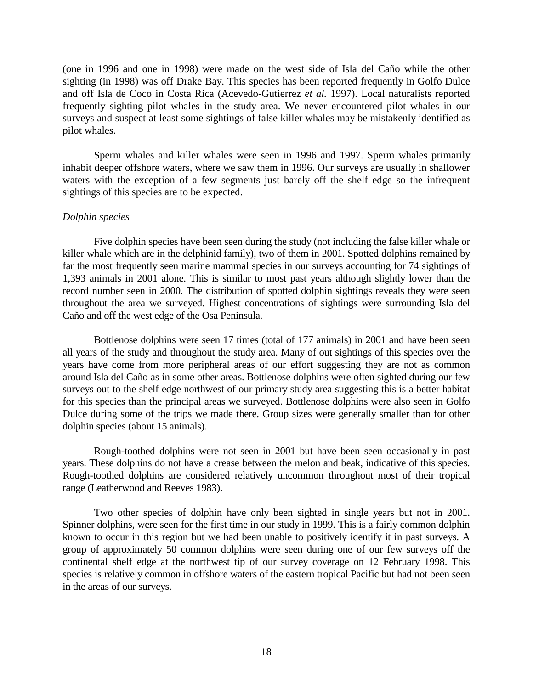<span id="page-17-0"></span>(one in 1996 and one in 1998) were made on the west side of Isla del Caño while the other sighting (in 1998) was off Drake Bay. This species has been reported frequently in Golfo Dulce and off Isla de Coco in Costa Rica (Acevedo-Gutierrez *et al.* 1997). Local naturalists reported frequently sighting pilot whales in the study area. We never encountered pilot whales in our surveys and suspect at least some sightings of false killer whales may be mistakenly identified as pilot whales.

 Sperm whales and killer whales were seen in 1996 and 1997. Sperm whales primarily inhabit deeper offshore waters, where we saw them in 1996. Our surveys are usually in shallower waters with the exception of a few segments just barely off the shelf edge so the infrequent sightings of this species are to be expected.

#### *Dolphin species*

 Five dolphin species have been seen during the study (not including the false killer whale or killer whale which are in the delphinid family), two of them in 2001. Spotted dolphins remained by far the most frequently seen marine mammal species in our surveys accounting for 74 sightings of 1,393 animals in 2001 alone. This is similar to most past years although slightly lower than the record number seen in 2000. The distribution of spotted dolphin sightings reveals they were seen throughout the area we surveyed. Highest concentrations of sightings were surrounding Isla del Caño and off the west edge of the Osa Peninsula.

 Bottlenose dolphins were seen 17 times (total of 177 animals) in 2001 and have been seen all years of the study and throughout the study area. Many of out sightings of this species over the years have come from more peripheral areas of our effort suggesting they are not as common around Isla del Caño as in some other areas. Bottlenose dolphins were often sighted during our few surveys out to the shelf edge northwest of our primary study area suggesting this is a better habitat for this species than the principal areas we surveyed. Bottlenose dolphins were also seen in Golfo Dulce during some of the trips we made there. Group sizes were generally smaller than for other dolphin species (about 15 animals).

 Rough-toothed dolphins were not seen in 2001 but have been seen occasionally in past years. These dolphins do not have a crease between the melon and beak, indicative of this species. Rough-toothed dolphins are considered relatively uncommon throughout most of their tropical range (Leatherwood and Reeves 1983).

 Two other species of dolphin have only been sighted in single years but not in 2001. Spinner dolphins, were seen for the first time in our study in 1999. This is a fairly common dolphin known to occur in this region but we had been unable to positively identify it in past surveys. A group of approximately 50 common dolphins were seen during one of our few surveys off the continental shelf edge at the northwest tip of our survey coverage on 12 February 1998. This species is relatively common in offshore waters of the eastern tropical Pacific but had not been seen in the areas of our surveys.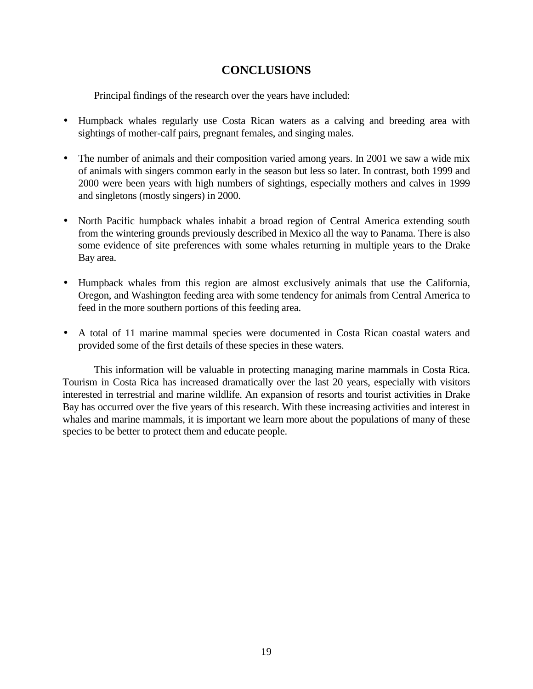# **CONCLUSIONS**

<span id="page-18-0"></span>Principal findings of the research over the years have included:

- Humpback whales regularly use Costa Rican waters as a calving and breeding area with sightings of mother-calf pairs, pregnant females, and singing males.
- The number of animals and their composition varied among years. In 2001 we saw a wide mix of animals with singers common early in the season but less so later. In contrast, both 1999 and 2000 were been years with high numbers of sightings, especially mothers and calves in 1999 and singletons (mostly singers) in 2000.
- North Pacific humpback whales inhabit a broad region of Central America extending south from the wintering grounds previously described in Mexico all the way to Panama. There is also some evidence of site preferences with some whales returning in multiple years to the Drake Bay area.
- Humpback whales from this region are almost exclusively animals that use the California, Oregon, and Washington feeding area with some tendency for animals from Central America to feed in the more southern portions of this feeding area.
- A total of 11 marine mammal species were documented in Costa Rican coastal waters and provided some of the first details of these species in these waters.

 This information will be valuable in protecting managing marine mammals in Costa Rica. Tourism in Costa Rica has increased dramatically over the last 20 years, especially with visitors interested in terrestrial and marine wildlife. An expansion of resorts and tourist activities in Drake Bay has occurred over the five years of this research. With these increasing activities and interest in whales and marine mammals, it is important we learn more about the populations of many of these species to be better to protect them and educate people.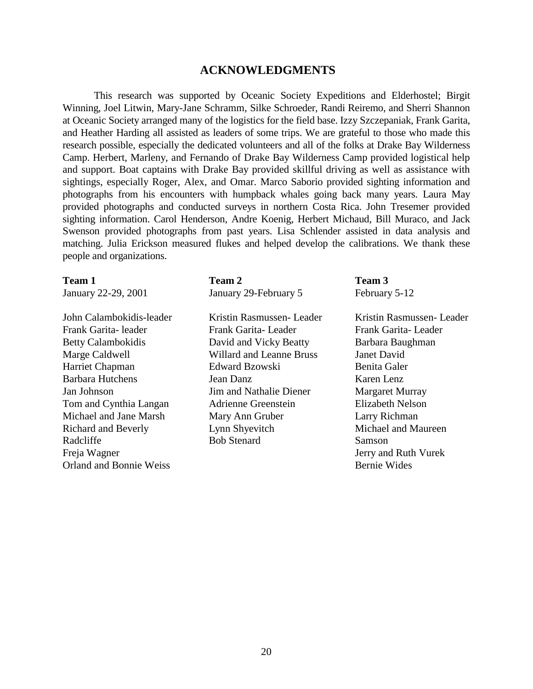# **ACKNOWLEDGMENTS**

<span id="page-19-0"></span> This research was supported by Oceanic Society Expeditions and Elderhostel; Birgit Winning, Joel Litwin, Mary-Jane Schramm, Silke Schroeder, Randi Reiremo, and Sherri Shannon at Oceanic Society arranged many of the logistics for the field base. Izzy Szczepaniak, Frank Garita, and Heather Harding all assisted as leaders of some trips. We are grateful to those who made this research possible, especially the dedicated volunteers and all of the folks at Drake Bay Wilderness Camp. Herbert, Marleny, and Fernando of Drake Bay Wilderness Camp provided logistical help and support. Boat captains with Drake Bay provided skillful driving as well as assistance with sightings, especially Roger, Alex, and Omar. Marco Saborio provided sighting information and photographs from his encounters with humpback whales going back many years. Laura May provided photographs and conducted surveys in northern Costa Rica. John Tresemer provided sighting information. Carol Henderson, Andre Koenig, Herbert Michaud, Bill Muraco, and Jack Swenson provided photographs from past years. Lisa Schlender assisted in data analysis and matching. Julia Erickson measured flukes and helped develop the calibrations. We thank these people and organizations.

#### **Team 1**

January 22-29, 2001

John Calambokidis-leader Frank Garita- leader Betty Calambokidis Marge Caldwell Harriet Chapman Barbara Hutchens Jan Johnson Tom and Cynthia Langan Michael and Jane Marsh Richard and Beverly Radcliffe Freja Wagner Orland and Bonnie Weiss

**Team 2**  January 29-February 5

Kristin Rasmussen- Leader Frank Garita- Leader David and Vicky Beatty Willard and Leanne Bruss Edward Bzowski Jean Danz Jim and Nathalie Diener Adrienne Greenstein Mary Ann Gruber Lynn Shyevitch Bob Stenard

**Team 3**  February 5-12

Kristin Rasmussen- Leader Frank Garita- Leader Barbara Baughman Janet David Benita Galer Karen Lenz Margaret Murray Elizabeth Nelson Larry Richman Michael and Maureen Samson Jerry and Ruth Vurek Bernie Wides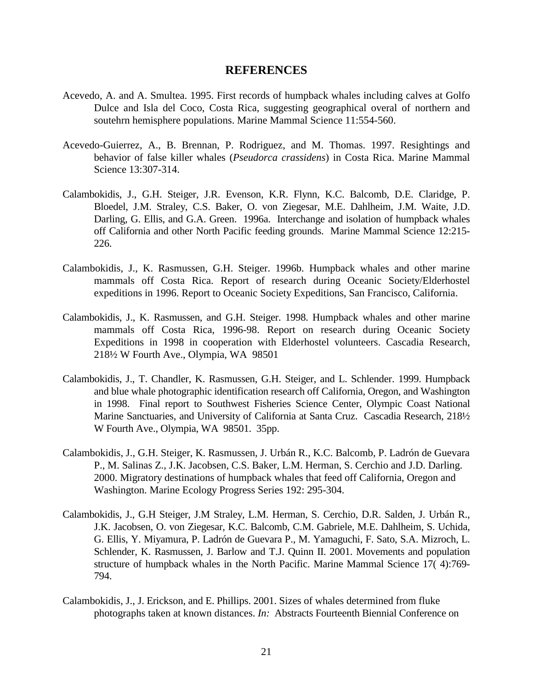#### **REFERENCES**

- <span id="page-20-0"></span>Acevedo, A. and A. Smultea. 1995. First records of humpback whales including calves at Golfo Dulce and Isla del Coco, Costa Rica, suggesting geographical overal of northern and soutehrn hemisphere populations. Marine Mammal Science 11:554-560.
- Acevedo-Guierrez, A., B. Brennan, P. Rodriguez, and M. Thomas. 1997. Resightings and behavior of false killer whales (*Pseudorca crassidens*) in Costa Rica. Marine Mammal Science 13:307-314.
- Calambokidis, J., G.H. Steiger, J.R. Evenson, K.R. Flynn, K.C. Balcomb, D.E. Claridge, P. Bloedel, J.M. Straley, C.S. Baker, O. von Ziegesar, M.E. Dahlheim, J.M. Waite, J.D. Darling, G. Ellis, and G.A. Green. 1996a. Interchange and isolation of humpback whales off California and other North Pacific feeding grounds. Marine Mammal Science 12:215- 226.
- Calambokidis, J., K. Rasmussen, G.H. Steiger. 1996b. Humpback whales and other marine mammals off Costa Rica. Report of research during Oceanic Society/Elderhostel expeditions in 1996. Report to Oceanic Society Expeditions, San Francisco, California.
- Calambokidis, J., K. Rasmussen, and G.H. Steiger. 1998. Humpback whales and other marine mammals off Costa Rica, 1996-98. Report on research during Oceanic Society Expeditions in 1998 in cooperation with Elderhostel volunteers. Cascadia Research, 218½ W Fourth Ave., Olympia, WA 98501
- Calambokidis, J., T. Chandler, K. Rasmussen, G.H. Steiger, and L. Schlender. 1999. Humpback and blue whale photographic identification research off California, Oregon, and Washington in 1998. Final report to Southwest Fisheries Science Center, Olympic Coast National Marine Sanctuaries, and University of California at Santa Cruz. Cascadia Research, 218½ W Fourth Ave., Olympia, WA 98501. 35pp.
- Calambokidis, J., G.H. Steiger, K. Rasmussen, J. Urbán R., K.C. Balcomb, P. Ladrón de Guevara P., M. Salinas Z., J.K. Jacobsen, C.S. Baker, L.M. Herman, S. Cerchio and J.D. Darling. 2000. Migratory destinations of humpback whales that feed off California, Oregon and Washington. Marine Ecology Progress Series 192: 295-304.
- Calambokidis, J., G.H Steiger, J.M Straley, L.M. Herman, S. Cerchio, D.R. Salden, J. Urbán R., J.K. Jacobsen, O. von Ziegesar, K.C. Balcomb, C.M. Gabriele, M.E. Dahlheim, S. Uchida, G. Ellis, Y. Miyamura, P. Ladrón de Guevara P., M. Yamaguchi, F. Sato, S.A. Mizroch, L. Schlender, K. Rasmussen, J. Barlow and T.J. Quinn II. 2001. Movements and population structure of humpback whales in the North Pacific. Marine Mammal Science 17( 4):769- 794.
- Calambokidis, J., J. Erickson, and E. Phillips. 2001. Sizes of whales determined from fluke photographs taken at known distances. *In:* Abstracts Fourteenth Biennial Conference on